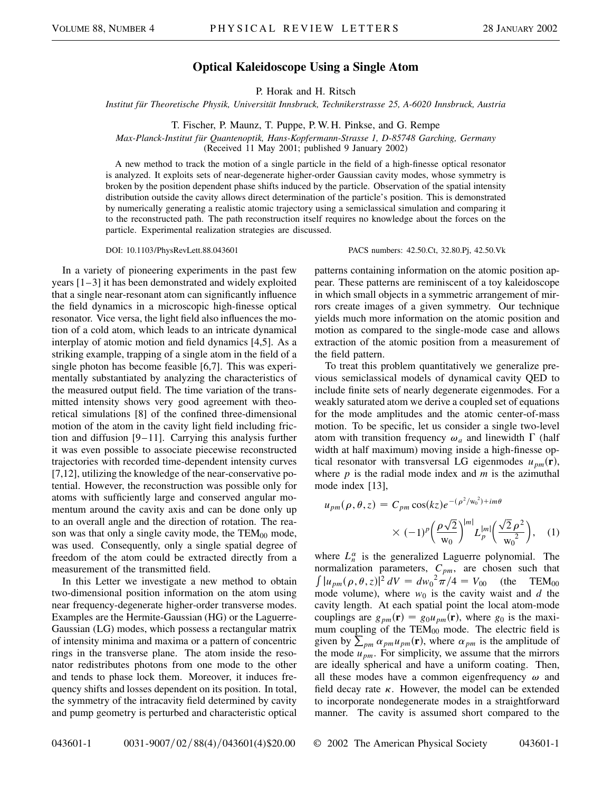## **Optical Kaleidoscope Using a Single Atom**

P. Horak and H. Ritsch

*Institut für Theoretische Physik, Universität Innsbruck, Technikerstrasse 25, A-6020 Innsbruck, Austria*

T. Fischer, P. Maunz, T. Puppe, P. W. H. Pinkse, and G. Rempe

*Max-Planck-Institut für Quantenoptik, Hans-Kopfermann-Strasse 1, D-85748 Garching, Germany*

(Received 11 May 2001; published 9 January 2002)

A new method to track the motion of a single particle in the field of a high-finesse optical resonator is analyzed. It exploits sets of near-degenerate higher-order Gaussian cavity modes, whose symmetry is broken by the position dependent phase shifts induced by the particle. Observation of the spatial intensity distribution outside the cavity allows direct determination of the particle's position. This is demonstrated by numerically generating a realistic atomic trajectory using a semiclassical simulation and comparing it to the reconstructed path. The path reconstruction itself requires no knowledge about the forces on the particle. Experimental realization strategies are discussed.

In a variety of pioneering experiments in the past few years [1–3] it has been demonstrated and widely exploited that a single near-resonant atom can significantly influence the field dynamics in a microscopic high-finesse optical resonator. Vice versa, the light field also influences the motion of a cold atom, which leads to an intricate dynamical interplay of atomic motion and field dynamics [4,5]. As a striking example, trapping of a single atom in the field of a single photon has become feasible [6,7]. This was experimentally substantiated by analyzing the characteristics of the measured output field. The time variation of the transmitted intensity shows very good agreement with theoretical simulations [8] of the confined three-dimensional motion of the atom in the cavity light field including friction and diffusion [9–11]. Carrying this analysis further it was even possible to associate piecewise reconstructed trajectories with recorded time-dependent intensity curves [7,12], utilizing the knowledge of the near-conservative potential. However, the reconstruction was possible only for atoms with sufficiently large and conserved angular momentum around the cavity axis and can be done only up to an overall angle and the direction of rotation. The reason was that only a single cavity mode, the  $TEM_{00}$  mode, was used. Consequently, only a single spatial degree of freedom of the atom could be extracted directly from a measurement of the transmitted field.

In this Letter we investigate a new method to obtain two-dimensional position information on the atom using near frequency-degenerate higher-order transverse modes. Examples are the Hermite-Gaussian (HG) or the Laguerre-Gaussian (LG) modes, which possess a rectangular matrix of intensity minima and maxima or a pattern of concentric rings in the transverse plane. The atom inside the resonator redistributes photons from one mode to the other and tends to phase lock them. Moreover, it induces frequency shifts and losses dependent on its position. In total, the symmetry of the intracavity field determined by cavity and pump geometry is perturbed and characteristic optical

DOI: 10.1103/PhysRevLett.88.043601 PACS numbers: 42.50.Ct, 32.80.Pj, 42.50.Vk

patterns containing information on the atomic position appear. These patterns are reminiscent of a toy kaleidoscope in which small objects in a symmetric arrangement of mirrors create images of a given symmetry. Our technique yields much more information on the atomic position and motion as compared to the single-mode case and allows extraction of the atomic position from a measurement of the field pattern.

To treat this problem quantitatively we generalize previous semiclassical models of dynamical cavity QED to include finite sets of nearly degenerate eigenmodes. For a weakly saturated atom we derive a coupled set of equations for the mode amplitudes and the atomic center-of-mass motion. To be specific, let us consider a single two-level atom with transition frequency  $\omega_a$  and linewidth  $\Gamma$  (half width at half maximum) moving inside a high-finesse optical resonator with transversal LG eigenmodes  $u_{pm}(\mathbf{r})$ , where  $p$  is the radial mode index and  $m$  is the azimuthal mode index [13],

$$
u_{pm}(\rho,\theta,z) = C_{pm} \cos(kz)e^{-(\rho^2/w_0^2) + im\theta}
$$

$$
\times (-1)^p \left(\frac{\rho\sqrt{2}}{w_0}\right)^{|m|} L_p^{|m|} \left(\frac{\sqrt{2}\rho^2}{w_0^2}\right), \quad (1)
$$

where  $L_n^{\alpha}$  is the generalized Laguerre polynomial. The normalization parameters,  $C_{pm}$ , are chosen such that  $\int |u_{pm}(\rho,\theta,z)|^2 dV = dw_0^2 \pi/4 = V_{00}$  (the TEM<sub>00</sub> mode volume), where  $w_0$  is the cavity waist and  $d$  the cavity length. At each spatial point the local atom-mode couplings are  $g_{pm}(\mathbf{r}) = g_0 u_{pm}(\mathbf{r})$ , where  $g_0$  is the maximum coupling of the  $TEM_{00}$  mode. The electric field is main coupling of the TEW<sub>100</sub> mode. The creative field is<br>given by  $\sum_{pm} \alpha_{pm} u_{pm}(r)$ , where  $\alpha_{pm}$  is the amplitude of the mode  $u_{pm}$ . For simplicity, we assume that the mirrors are ideally spherical and have a uniform coating. Then, all these modes have a common eigenfrequency  $\omega$  and field decay rate  $\kappa$ . However, the model can be extended to incorporate nondegenerate modes in a straightforward manner. The cavity is assumed short compared to the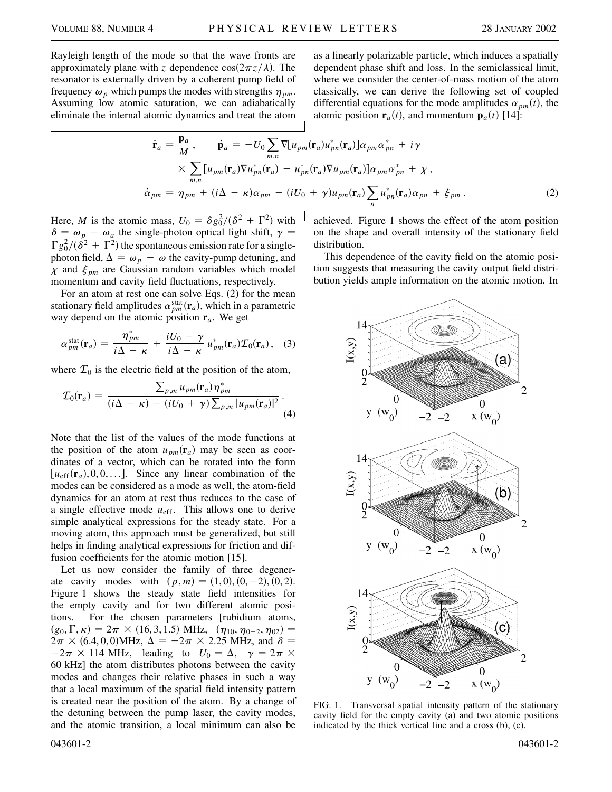Rayleigh length of the mode so that the wave fronts are approximately plane with *z* dependence  $cos(2\pi z/\lambda)$ . The resonator is externally driven by a coherent pump field of frequency  $\omega_p$  which pumps the modes with strengths  $\eta_{pm}$ . Assuming low atomic saturation, we can adiabatically eliminate the internal atomic dynamics and treat the atom as a linearly polarizable particle, which induces a spatially dependent phase shift and loss. In the semiclassical limit, where we consider the center-of-mass motion of the atom classically, we can derive the following set of coupled differential equations for the mode amplitudes  $\alpha_{pm}(t)$ , the atomic position  $\mathbf{r}_a(t)$ , and momentum  $\mathbf{p}_a(t)$  [14]:

$$
\dot{\mathbf{r}}_{a} = \frac{\mathbf{p}_{a}}{M}, \qquad \dot{\mathbf{p}}_{a} = -U_{0} \sum_{m,n} \nabla [u_{pm}(\mathbf{r}_{a}) u_{pn}^{*}(\mathbf{r}_{a})] \alpha_{pm} \alpha_{pn}^{*} + i\gamma
$$
\n
$$
\times \sum_{m,n} [u_{pm}(\mathbf{r}_{a}) \nabla u_{pn}^{*}(\mathbf{r}_{a}) - u_{pn}^{*}(\mathbf{r}_{a}) \nabla u_{pm}(\mathbf{r}_{a})] \alpha_{pm} \alpha_{pn}^{*} + \chi,
$$
\n
$$
\dot{\alpha}_{pm} = \eta_{pm} + (i\Delta - \kappa) \alpha_{pm} - (iU_{0} + \gamma) u_{pm}(\mathbf{r}_{a}) \sum_{n} u_{pn}^{*}(\mathbf{r}_{a}) \alpha_{pn} + \xi_{pm}.
$$
\n(2)

Here, *M* is the atomic mass,  $U_0 = \delta g_0^2/(\delta^2 + \Gamma^2)$  with  $\delta = \omega_p - \omega_a$  the single-photon optical light shift,  $\gamma =$  $\Gamma g_0^2/(\dot{\delta}^2 + \Gamma^2)$  the spontaneous emission rate for a singlephoton field,  $\Delta = \omega_p - \omega$  the cavity-pump detuning, and  $\chi$  and  $\xi_{pm}$  are Gaussian random variables which model momentum and cavity field fluctuations, respectively.

For an atom at rest one can solve Eqs. (2) for the mean stationary field amplitudes  $\alpha_{pm}^{\text{stat}}(\mathbf{r}_a)$ , which in a parametric way depend on the atomic position **r***a*. We get

$$
\alpha_{pm}^{\text{stat}}(\mathbf{r}_a) = \frac{\eta_{pm}^*}{i\Delta - \kappa} + \frac{iU_0 + \gamma}{i\Delta - \kappa} u_{pm}^*(\mathbf{r}_a) \mathcal{I}_0(\mathbf{r}_a), \quad (3)
$$

where  $\mathcal{F}_0$  is the electric field at the position of the atom,

$$
\mathcal{E}_0(\mathbf{r}_a) = \frac{\sum_{p,m} u_{pm}(\mathbf{r}_a) \eta_{pm}^*}{(i\Delta - \kappa) - (iU_0 + \gamma) \sum_{p,m} |u_{pm}(\mathbf{r}_a)|^2}.
$$
\n(4)

Note that the list of the values of the mode functions at the position of the atom  $u_{pm}(\mathbf{r}_a)$  may be seen as coordinates of a vector, which can be rotated into the form  $[u_{\text{eff}}(\mathbf{r}_a), 0, 0, \ldots]$ . Since any linear combination of the modes can be considered as a mode as well, the atom-field dynamics for an atom at rest thus reduces to the case of a single effective mode  $u_{\text{eff}}$ . This allows one to derive simple analytical expressions for the steady state. For a moving atom, this approach must be generalized, but still helps in finding analytical expressions for friction and diffusion coefficients for the atomic motion [15].

Let us now consider the family of three degenerate cavity modes with  $(p, m) = (1, 0), (0, -2), (0, 2)$ . Figure 1 shows the steady state field intensities for the empty cavity and for two different atomic positions. For the chosen parameters [rubidium atoms,  $(g_0, \Gamma, \kappa) = 2\pi \times (16, 3, 1.5)$  MHz,  $(\eta_{10}, \eta_{0-2}, \eta_{02}) =$  $2\pi \times (6.4, 0, 0)$ MHz,  $\Delta = -2\pi \times 2.25$  MHz, and  $\delta =$  $-2\pi \times 114$  MHz, leading to  $U_0 = \Delta$ ,  $\gamma = 2\pi \times$ 60 kHz] the atom distributes photons between the cavity modes and changes their relative phases in such a way that a local maximum of the spatial field intensity pattern is created near the position of the atom. By a change of the detuning between the pump laser, the cavity modes, and the atomic transition, a local minimum can also be

043601-2 043601-2 043601-2 05 043601-2 05 043601-2 05 043601-2 05 043601-2 05 043601-2

achieved. Figure 1 shows the effect of the atom position on the shape and overall intensity of the stationary field distribution.

This dependence of the cavity field on the atomic position suggests that measuring the cavity output field distribution yields ample information on the atomic motion. In



FIG. 1. Transversal spatial intensity pattern of the stationary cavity field for the empty cavity (a) and two atomic positions indicated by the thick vertical line and a cross (b), (c).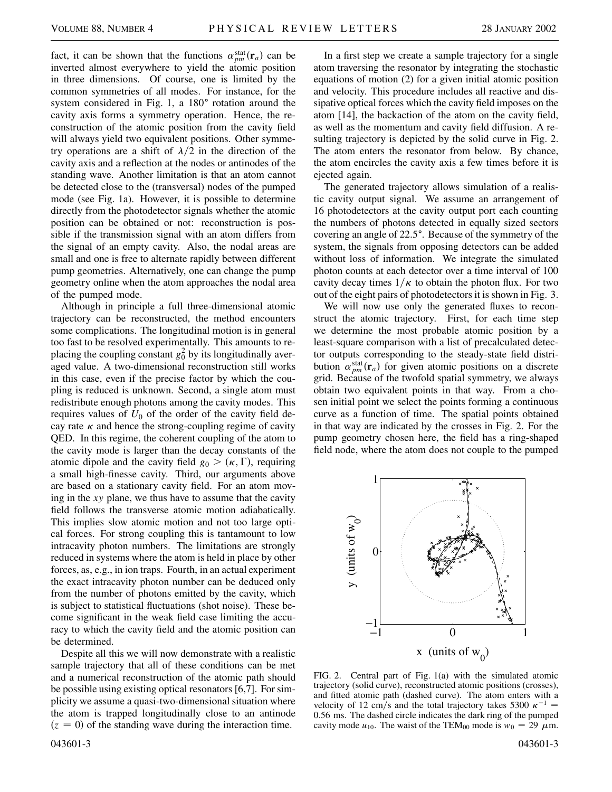fact, it can be shown that the functions  $\alpha_{pm}^{\text{stat}}(\mathbf{r}_a)$  can be inverted almost everywhere to yield the atomic position in three dimensions. Of course, one is limited by the common symmetries of all modes. For instance, for the system considered in Fig. 1, a  $180^\circ$  rotation around the cavity axis forms a symmetry operation. Hence, the reconstruction of the atomic position from the cavity field will always yield two equivalent positions. Other symmetry operations are a shift of  $\lambda/2$  in the direction of the cavity axis and a reflection at the nodes or antinodes of the standing wave. Another limitation is that an atom cannot be detected close to the (transversal) nodes of the pumped mode (see Fig. 1a). However, it is possible to determine directly from the photodetector signals whether the atomic position can be obtained or not: reconstruction is possible if the transmission signal with an atom differs from the signal of an empty cavity. Also, the nodal areas are small and one is free to alternate rapidly between different pump geometries. Alternatively, one can change the pump geometry online when the atom approaches the nodal area of the pumped mode.

Although in principle a full three-dimensional atomic trajectory can be reconstructed, the method encounters some complications. The longitudinal motion is in general too fast to be resolved experimentally. This amounts to replacing the coupling constant  $g_0^2$  by its longitudinally averaged value. A two-dimensional reconstruction still works in this case, even if the precise factor by which the coupling is reduced is unknown. Second, a single atom must redistribute enough photons among the cavity modes. This requires values of  $U_0$  of the order of the cavity field decay rate  $\kappa$  and hence the strong-coupling regime of cavity QED. In this regime, the coherent coupling of the atom to the cavity mode is larger than the decay constants of the atomic dipole and the cavity field  $g_0 > (\kappa, \Gamma)$ , requiring a small high-finesse cavity. Third, our arguments above are based on a stationary cavity field. For an atom moving in the *xy* plane, we thus have to assume that the cavity field follows the transverse atomic motion adiabatically. This implies slow atomic motion and not too large optical forces. For strong coupling this is tantamount to low intracavity photon numbers. The limitations are strongly reduced in systems where the atom is held in place by other forces, as, e.g., in ion traps. Fourth, in an actual experiment the exact intracavity photon number can be deduced only from the number of photons emitted by the cavity, which is subject to statistical fluctuations (shot noise). These become significant in the weak field case limiting the accuracy to which the cavity field and the atomic position can be determined.

Despite all this we will now demonstrate with a realistic sample trajectory that all of these conditions can be met and a numerical reconstruction of the atomic path should be possible using existing optical resonators [6,7]. For simplicity we assume a quasi-two-dimensional situation where the atom is trapped longitudinally close to an antinode  $(z = 0)$  of the standing wave during the interaction time.

In a first step we create a sample trajectory for a single atom traversing the resonator by integrating the stochastic equations of motion (2) for a given initial atomic position and velocity. This procedure includes all reactive and dissipative optical forces which the cavity field imposes on the atom [14], the backaction of the atom on the cavity field, as well as the momentum and cavity field diffusion. A resulting trajectory is depicted by the solid curve in Fig. 2. The atom enters the resonator from below. By chance, the atom encircles the cavity axis a few times before it is ejected again.

The generated trajectory allows simulation of a realistic cavity output signal. We assume an arrangement of 16 photodetectors at the cavity output port each counting the numbers of photons detected in equally sized sectors covering an angle of 22.5°. Because of the symmetry of the system, the signals from opposing detectors can be added without loss of information. We integrate the simulated photon counts at each detector over a time interval of 100 cavity decay times  $1/\kappa$  to obtain the photon flux. For two out of the eight pairs of photodetectors it is shown in Fig. 3.

We will now use only the generated fluxes to reconstruct the atomic trajectory. First, for each time step we determine the most probable atomic position by a least-square comparison with a list of precalculated detector outputs corresponding to the steady-state field distribution  $\alpha_{pm}^{\text{stat}}(\mathbf{r}_a)$  for given atomic positions on a discrete grid. Because of the twofold spatial symmetry, we always obtain two equivalent points in that way. From a chosen initial point we select the points forming a continuous curve as a function of time. The spatial points obtained in that way are indicated by the crosses in Fig. 2. For the pump geometry chosen here, the field has a ring-shaped field node, where the atom does not couple to the pumped



FIG. 2. Central part of Fig. 1(a) with the simulated atomic trajectory (solid curve), reconstructed atomic positions (crosses), and fitted atomic path (dashed curve). The atom enters with a velocity of 12 cm/s and the total trajectory takes 5300  $\kappa^{-1}$  = 0.56 ms. The dashed circle indicates the dark ring of the pumped cavity mode  $u_{10}$ . The waist of the TEM<sub>00</sub> mode is  $w_0 = 29 \mu$ m.